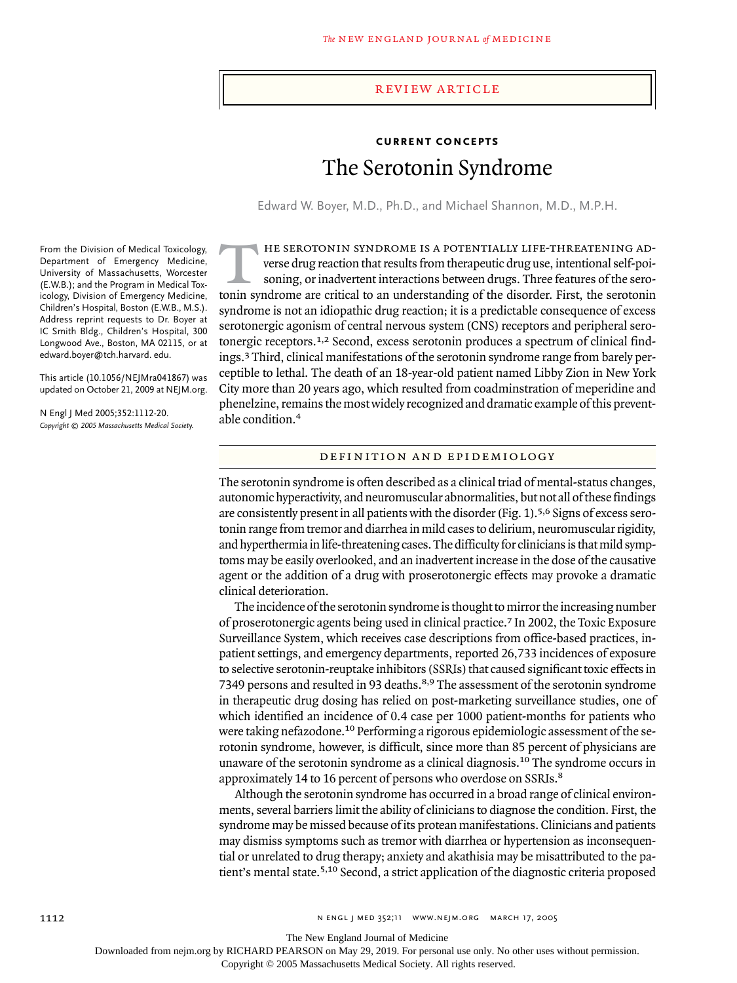#### review article

# **current concepts** The Serotonin Syndrome

Edward W. Boyer, M.D., Ph.D., and Michael Shannon, M.D., M.P.H.

From the Division of Medical Toxicology, Department of Emergency Medicine, University of Massachusetts, Worcester (E.W.B.); and the Program in Medical Toxicology, Division of Emergency Medicine, Children's Hospital, Boston (E.W.B., M.S.). Address reprint requests to Dr. Boyer at IC Smith Bldg., Children's Hospital, 300 Longwood Ave., Boston, MA 02115, or at edward.boyer@tch.harvard. edu.

This article (10.1056/NEJMra041867) was updated on October 21, 2009 at NEJM.org.

N Engl J Med 2005;352:1112-20. *Copyright © 2005 Massachusetts Medical Society.*

he serotonin syndrome is a potentially life-threatening adverse drug reaction that results from therapeutic drug use, intentional self-poisoning, or inadvertent interactions between drugs. Three features of the serotonin syndrome are critical to an understanding of the disorder. First, the serotonin syndrome is not an idiopathic drug reaction; it is a predictable consequence of excess serotonergic agonism of central nervous system (CNS) receptors and peripheral serotonergic receptors.1,2 Second, excess serotonin produces a spectrum of clinical findings.3 Third, clinical manifestations of the serotonin syndrome range from barely perceptible to lethal. The death of an 18-year-old patient named Libby Zion in New York City more than 20 years ago, which resulted from coadminstration of meperidine and phenelzine, remains the most widely recognized and dramatic example of this preventable condition.<sup>4</sup>  $\overline{T}$ 

#### definition and epidemiology

The serotonin syndrome is often described as a clinical triad of mental-status changes, autonomic hyperactivity, and neuromuscular abnormalities, but not all of these findings are consistently present in all patients with the disorder (Fig. 1).5,6 Signs of excess serotonin range from tremor and diarrhea in mild cases to delirium, neuromuscular rigidity, and hyperthermia in life-threatening cases. The difficulty for clinicians is that mild symptoms may be easily overlooked, and an inadvertent increase in the dose of the causative agent or the addition of a drug with proserotonergic effects may provoke a dramatic clinical deterioration.

The incidence of the serotonin syndrome is thought to mirror the increasing number of proserotonergic agents being used in clinical practice.7 In 2002, the Toxic Exposure Surveillance System, which receives case descriptions from office-based practices, inpatient settings, and emergency departments, reported 26,733 incidences of exposure to selective serotonin-reuptake inhibitors (SSRIs) that caused significant toxic effects in 7349 persons and resulted in 93 deaths.<sup>8,9</sup> The assessment of the serotonin syndrome in therapeutic drug dosing has relied on post-marketing surveillance studies, one of which identified an incidence of 0.4 case per 1000 patient-months for patients who were taking nefazodone.<sup>10</sup> Performing a rigorous epidemiologic assessment of the serotonin syndrome, however, is difficult, since more than 85 percent of physicians are unaware of the serotonin syndrome as a clinical diagnosis.10 The syndrome occurs in approximately 14 to 16 percent of persons who overdose on SSRIs.<sup>8</sup>

Although the serotonin syndrome has occurred in a broad range of clinical environments, several barriers limit the ability of clinicians to diagnose the condition. First, the syndrome may be missed because of its protean manifestations. Clinicians and patients may dismiss symptoms such as tremor with diarrhea or hypertension as inconsequential or unrelated to drug therapy; anxiety and akathisia may be misattributed to the patient's mental state.<sup>5,10</sup> Second, a strict application of the diagnostic criteria proposed

The New England Journal of Medicine

Downloaded from nejm.org by RICHARD PEARSON on May 29, 2019. For personal use only. No other uses without permission.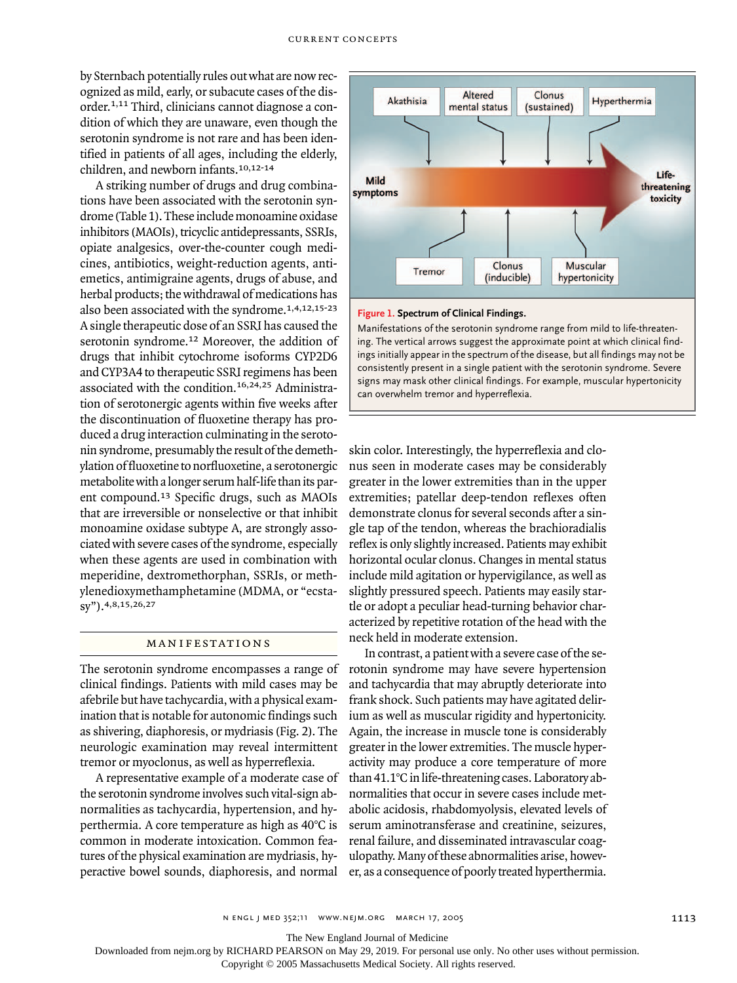by Sternbach potentially rules out what are now recognized as mild, early, or subacute cases of the disorder.1,11 Third, clinicians cannot diagnose a condition of which they are unaware, even though the serotonin syndrome is not rare and has been identified in patients of all ages, including the elderly, children, and newborn infants.10,12-14

A striking number of drugs and drug combinations have been associated with the serotonin syndrome (Table 1). These include monoamine oxidase inhibitors (MAOIs), tricyclic antidepressants, SSRIs, opiate analgesics, over-the-counter cough medicines, antibiotics, weight-reduction agents, antiemetics, antimigraine agents, drugs of abuse, and herbal products; the withdrawal of medications has also been associated with the syndrome.1,4,12,15-23 A single therapeutic dose of an SSRI has caused the serotonin syndrome.12 Moreover, the addition of drugs that inhibit cytochrome isoforms CYP2D6 and CYP3A4 to therapeutic SSRI regimens has been associated with the condition.16,24,25 Administration of serotonergic agents within five weeks after the discontinuation of fluoxetine therapy has produced a drug interaction culminating in the serotonin syndrome, presumably the result of the demethylation of fluoxetine to norfluoxetine, a serotonergic metabolite with a longer serum half-life than its parent compound.13 Specific drugs, such as MAOIs that are irreversible or nonselective or that inhibit monoamine oxidase subtype A, are strongly associated with severe cases of the syndrome, especially when these agents are used in combination with meperidine, dextromethorphan, SSRIs, or methylenedioxymethamphetamine (MDMA, or "ecsta- $SV$ "). 4,8,15,26,27

### manifestations

The serotonin syndrome encompasses a range of clinical findings. Patients with mild cases may be afebrile but have tachycardia, with a physical examination that is notable for autonomic findings such as shivering, diaphoresis, or mydriasis (Fig. 2). The neurologic examination may reveal intermittent tremor or myoclonus, as well as hyperreflexia.

A representative example of a moderate case of the serotonin syndrome involves such vital-sign abnormalities as tachycardia, hypertension, and hyperthermia. A core temperature as high as 40°C is common in moderate intoxication. Common features of the physical examination are mydriasis, hyperactive bowel sounds, diaphoresis, and normal



#### **Figure 1. Spectrum of Clinical Findings.**

Manifestations of the serotonin syndrome range from mild to life-threatening. The vertical arrows suggest the approximate point at which clinical findings initially appear in the spectrum of the disease, but all findings may not be consistently present in a single patient with the serotonin syndrome. Severe signs may mask other clinical findings. For example, muscular hypertonicity can overwhelm tremor and hyperreflexia.

skin color. Interestingly, the hyperreflexia and clonus seen in moderate cases may be considerably greater in the lower extremities than in the upper extremities; patellar deep-tendon reflexes often demonstrate clonus for several seconds after a single tap of the tendon, whereas the brachioradialis reflex is only slightly increased. Patients may exhibit horizontal ocular clonus. Changes in mental status include mild agitation or hypervigilance, as well as slightly pressured speech. Patients may easily startle or adopt a peculiar head-turning behavior characterized by repetitive rotation of the head with the neck held in moderate extension.

In contrast, a patient with a severe case of the serotonin syndrome may have severe hypertension and tachycardia that may abruptly deteriorate into frank shock. Such patients may have agitated delirium as well as muscular rigidity and hypertonicity. Again, the increase in muscle tone is considerably greater in the lower extremities. The muscle hyperactivity may produce a core temperature of more than 41.1°C in life-threatening cases. Laboratory abnormalities that occur in severe cases include metabolic acidosis, rhabdomyolysis, elevated levels of serum aminotransferase and creatinine, seizures, renal failure, and disseminated intravascular coagulopathy. Many of these abnormalities arise, however, as a consequence of poorly treated hyperthermia.

1113

The New England Journal of Medicine

Downloaded from nejm.org by RICHARD PEARSON on May 29, 2019. For personal use only. No other uses without permission.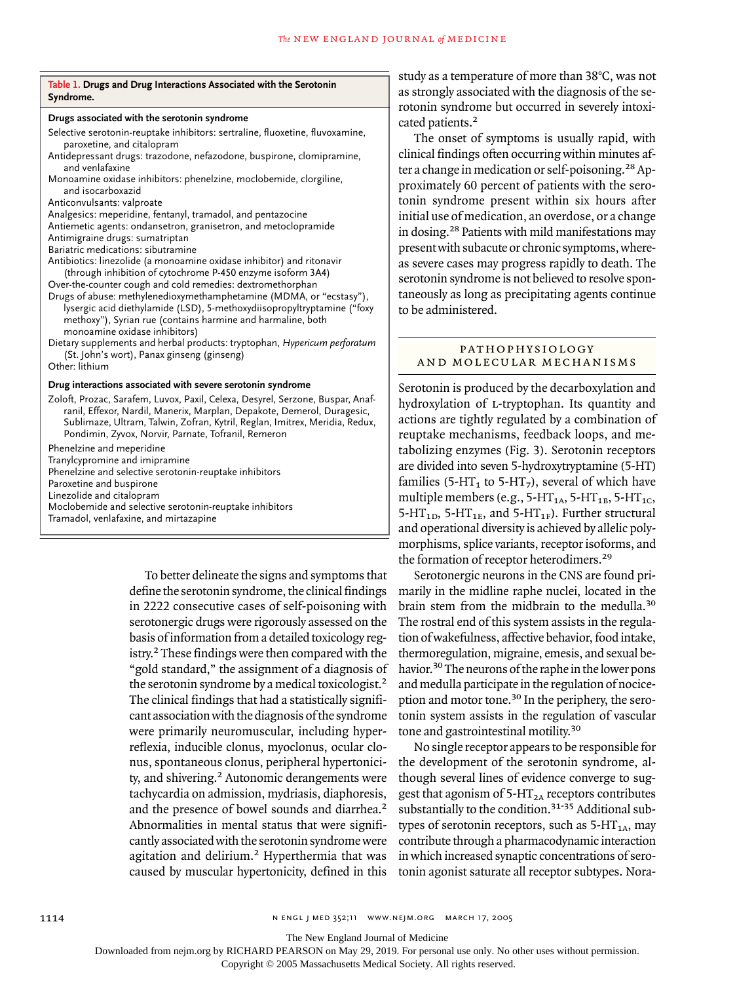#### **Table 1. Drugs and Drug Interactions Associated with the Serotonin Syndrome.**

#### **Drugs associated with the serotonin syndrome**

Selective serotonin-reuptake inhibitors: sertraline, fluoxetine, fluvoxamine, paroxetine, and citalopram

- Antidepressant drugs: trazodone, nefazodone, buspirone, clomipramine, and venlafaxine
- Monoamine oxidase inhibitors: phenelzine, moclobemide, clorgiline, and isocarboxazid
- Anticonvulsants: valproate

Analgesics: meperidine, fentanyl, tramadol, and pentazocine

Antiemetic agents: ondansetron, granisetron, and metoclopramide

- Antimigraine drugs: sumatriptan Bariatric medications: sibutramine
- 

Antibiotics: linezolide (a monoamine oxidase inhibitor) and ritonavir (through inhibition of cytochrome P-450 enzyme isoform 3A4)

Over-the-counter cough and cold remedies: dextromethorphan Drugs of abuse: methylenedioxymethamphetamine (MDMA, or "ecstasy"),

lysergic acid diethylamide (LSD), 5-methoxydiisopropyltryptamine ("foxy methoxy"), Syrian rue (contains harmine and harmaline, both

monoamine oxidase inhibitors)

Dietary supplements and herbal products: tryptophan, *Hypericum perforatum* (St. John's wort), Panax ginseng (ginseng) Other: lithium

# **Drug interactions associated with severe serotonin syndrome**

Zoloft, Prozac, Sarafem, Luvox, Paxil, Celexa, Desyrel, Serzone, Buspar, Anafranil, Effexor, Nardil, Manerix, Marplan, Depakote, Demerol, Duragesic, Sublimaze, Ultram, Talwin, Zofran, Kytril, Reglan, Imitrex, Meridia, Redux, Pondimin, Zyvox, Norvir, Parnate, Tofranil, Remeron

Phenelzine and meperidine

Tranylcypromine and imipramine

Phenelzine and selective serotonin-reuptake inhibitors

Paroxetine and buspirone

Linezolide and citalopram

Moclobemide and selective serotonin-reuptake inhibitors Tramadol, venlafaxine, and mirtazapine

> To better delineate the signs and symptoms that define the serotonin syndrome, the clinical findings in 2222 consecutive cases of self-poisoning with serotonergic drugs were rigorously assessed on the basis of information from a detailed toxicology registry.2 These findings were then compared with the "gold standard," the assignment of a diagnosis of the serotonin syndrome by a medical toxicologist.<sup>2</sup> The clinical findings that had a statistically significant association with the diagnosis of the syndrome were primarily neuromuscular, including hyperreflexia, inducible clonus, myoclonus, ocular clonus, spontaneous clonus, peripheral hypertonicity, and shivering.<sup>2</sup> Autonomic derangements were tachycardia on admission, mydriasis, diaphoresis, and the presence of bowel sounds and diarrhea.<sup>2</sup> Abnormalities in mental status that were significantly associated with the serotonin syndrome were agitation and delirium.2 Hyperthermia that was caused by muscular hypertonicity, defined in this

study as a temperature of more than 38°C, was not as strongly associated with the diagnosis of the serotonin syndrome but occurred in severely intoxicated patients.<sup>2</sup>

The onset of symptoms is usually rapid, with clinical findings often occurring within minutes after a change in medication or self-poisoning.28 Approximately 60 percent of patients with the serotonin syndrome present within six hours after initial use of medication, an overdose, or a change in dosing.28 Patients with mild manifestations may present with subacute or chronic symptoms, whereas severe cases may progress rapidly to death. The serotonin syndrome is not believed to resolve spontaneously as long as precipitating agents continue to be administered.

# pathophysiology and molecular mechanisms

Serotonin is produced by the decarboxylation and hydroxylation of L-tryptophan. Its quantity and actions are tightly regulated by a combination of reuptake mechanisms, feedback loops, and metabolizing enzymes (Fig. 3). Serotonin receptors are divided into seven 5-hydroxytryptamine (5-HT) families (5-HT<sub>1</sub> to 5-HT<sub>7</sub>), several of which have multiple members (e.g.,  $5-HT_{1A}$ ,  $5-HT_{1B}$ ,  $5-HT_{1C}$ , 5-HT<sub>1D</sub>, 5-HT<sub>1E</sub>, and 5-HT<sub>1F</sub>). Further structural and operational diversity is achieved by allelic polymorphisms, splice variants, receptor isoforms, and the formation of receptor heterodimers.<sup>29</sup>

Serotonergic neurons in the CNS are found primarily in the midline raphe nuclei, located in the brain stem from the midbrain to the medulla.<sup>30</sup> The rostral end of this system assists in the regulation of wakefulness, affective behavior, food intake, thermoregulation, migraine, emesis, and sexual behavior.<sup>30</sup> The neurons of the raphe in the lower pons and medulla participate in the regulation of nociception and motor tone.<sup>30</sup> In the periphery, the serotonin system assists in the regulation of vascular tone and gastrointestinal motility.<sup>30</sup>

No single receptor appears to be responsible for the development of the serotonin syndrome, although several lines of evidence converge to suggest that agonism of  $5-HT<sub>2A</sub>$  receptors contributes substantially to the condition.<sup>31-35</sup> Additional subtypes of serotonin receptors, such as  $5-HT<sub>1A</sub>$ , may contribute through a pharmacodynamic interaction in which increased synaptic concentrations of serotonin agonist saturate all receptor subtypes. Nora-

The New England Journal of Medicine

Downloaded from nejm.org by RICHARD PEARSON on May 29, 2019. For personal use only. No other uses without permission.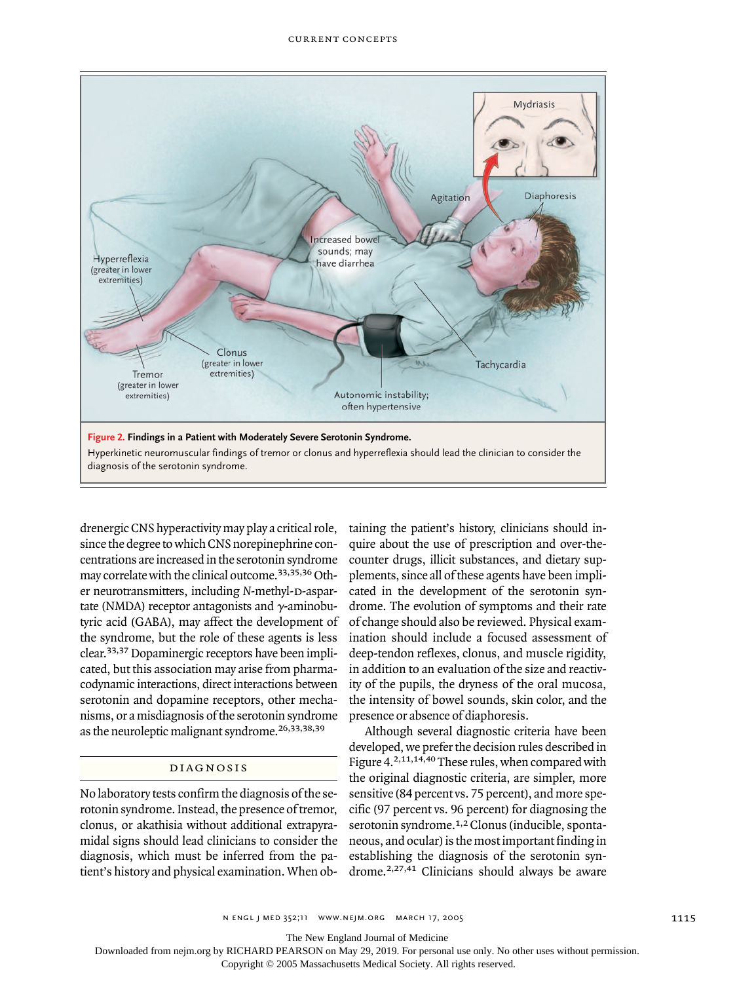

drenergic CNS hyperactivity may play a critical role, since the degree to which CNS norepinephrine concentrations are increased in the serotonin syndrome may correlate with the clinical outcome.<sup>33,35,36</sup> Other neurotransmitters, including *N*-methyl-D-aspartate (NMDA) receptor antagonists and  $\gamma$ -aminobutyric acid (GABA), may affect the development of the syndrome, but the role of these agents is less clear.33,37 Dopaminergic receptors have been implicated, but this association may arise from pharmacodynamic interactions, direct interactions between serotonin and dopamine receptors, other mechanisms, or a misdiagnosis of the serotonin syndrome as the neuroleptic malignant syndrome.<sup>26,33,38,39</sup>

# diagnosis

No laboratory tests confirm the diagnosis of the serotonin syndrome. Instead, the presence of tremor, clonus, or akathisia without additional extrapyramidal signs should lead clinicians to consider the diagnosis, which must be inferred from the patient's history and physical examination. When obtaining the patient's history, clinicians should inquire about the use of prescription and over-thecounter drugs, illicit substances, and dietary supplements, since all of these agents have been implicated in the development of the serotonin syndrome. The evolution of symptoms and their rate of change should also be reviewed. Physical examination should include a focused assessment of deep-tendon reflexes, clonus, and muscle rigidity, in addition to an evaluation of the size and reactivity of the pupils, the dryness of the oral mucosa, the intensity of bowel sounds, skin color, and the presence or absence of diaphoresis.

Although several diagnostic criteria have been developed, we prefer the decision rules described in Figure 4.2,11,14,40 These rules, when compared with the original diagnostic criteria, are simpler, more sensitive (84 percent vs. 75 percent), and more specific (97 percent vs. 96 percent) for diagnosing the serotonin syndrome.<sup>1,2</sup> Clonus (inducible, spontaneous, and ocular) is the most important finding in establishing the diagnosis of the serotonin syndrome.2,27,41 Clinicians should always be aware

1115

The New England Journal of Medicine

Downloaded from nejm.org by RICHARD PEARSON on May 29, 2019. For personal use only. No other uses without permission.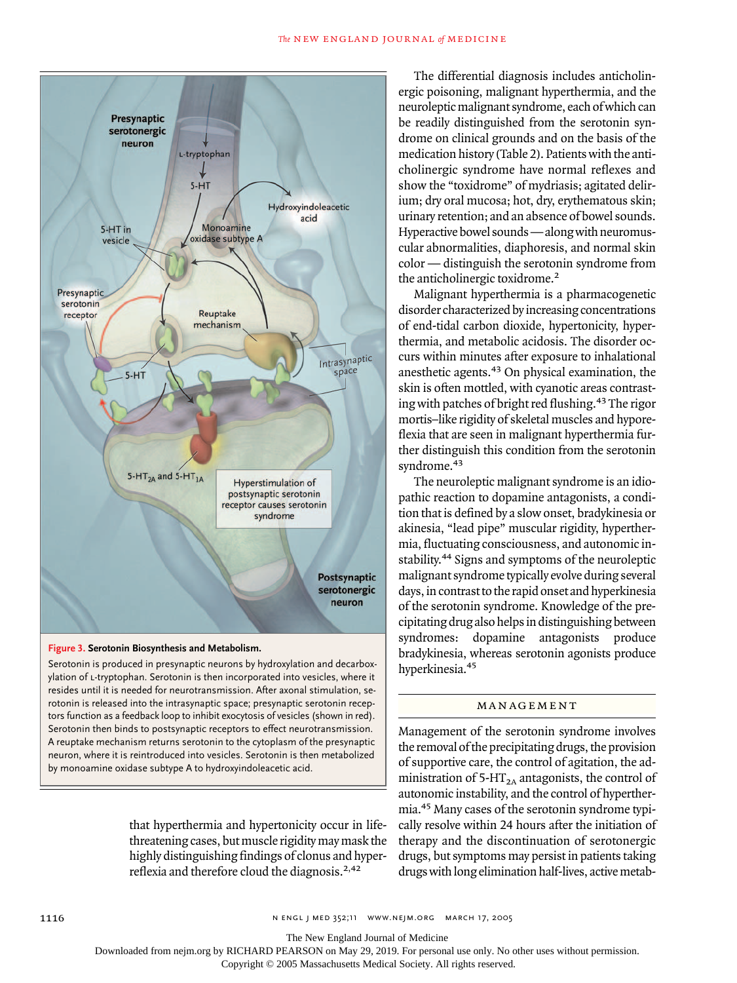

## **Figure 3. Serotonin Biosynthesis and Metabolism.**

Serotonin is produced in presynaptic neurons by hydroxylation and decarboxylation of l-tryptophan. Serotonin is then incorporated into vesicles, where it resides until it is needed for neurotransmission. After axonal stimulation, serotonin is released into the intrasynaptic space; presynaptic serotonin receptors function as a feedback loop to inhibit exocytosis of vesicles (shown in red). Serotonin then binds to postsynaptic receptors to effect neurotransmission. A reuptake mechanism returns serotonin to the cytoplasm of the presynaptic neuron, where it is reintroduced into vesicles. Serotonin is then metabolized by monoamine oxidase subtype A to hydroxyindoleacetic acid.

> that hyperthermia and hypertonicity occur in lifethreatening cases, but muscle rigidity may mask the highly distinguishing findings of clonus and hyperreflexia and therefore cloud the diagnosis.2,42

The differential diagnosis includes anticholinergic poisoning, malignant hyperthermia, and the neuroleptic malignant syndrome, each of which can be readily distinguished from the serotonin syndrome on clinical grounds and on the basis of the medication history (Table 2). Patients with the anticholinergic syndrome have normal reflexes and show the "toxidrome" of mydriasis; agitated delirium; dry oral mucosa; hot, dry, erythematous skin; urinary retention; and an absence of bowel sounds. Hyperactive bowel sounds — along with neuromuscular abnormalities, diaphoresis, and normal skin color — distinguish the serotonin syndrome from the anticholinergic toxidrome.<sup>2</sup>

Malignant hyperthermia is a pharmacogenetic disorder characterized by increasing concentrations of end-tidal carbon dioxide, hypertonicity, hyperthermia, and metabolic acidosis. The disorder occurs within minutes after exposure to inhalational anesthetic agents.43 On physical examination, the skin is often mottled, with cyanotic areas contrasting with patches of bright red flushing.<sup>43</sup> The rigor mortis–like rigidity of skeletal muscles and hyporeflexia that are seen in malignant hyperthermia further distinguish this condition from the serotonin syndrome.<sup>43</sup>

The neuroleptic malignant syndrome is an idiopathic reaction to dopamine antagonists, a condition that is defined by a slow onset, bradykinesia or akinesia, "lead pipe" muscular rigidity, hyperthermia, fluctuating consciousness, and autonomic instability.44 Signs and symptoms of the neuroleptic malignant syndrome typically evolve during several days, in contrast to the rapid onset and hyperkinesia of the serotonin syndrome. Knowledge of the precipitating drug also helps in distinguishing between syndromes: dopamine antagonists produce bradykinesia, whereas serotonin agonists produce hyperkinesia.<sup>45</sup>

## management

Management of the serotonin syndrome involves the removal of the precipitating drugs, the provision of supportive care, the control of agitation, the administration of  $5-HT_{2A}$  antagonists, the control of autonomic instability, and the control of hyperthermia.45 Many cases of the serotonin syndrome typically resolve within 24 hours after the initiation of therapy and the discontinuation of serotonergic drugs, but symptoms may persist in patients taking drugs with long elimination half-lives, active metab-

The New England Journal of Medicine

Downloaded from nejm.org by RICHARD PEARSON on May 29, 2019. For personal use only. No other uses without permission.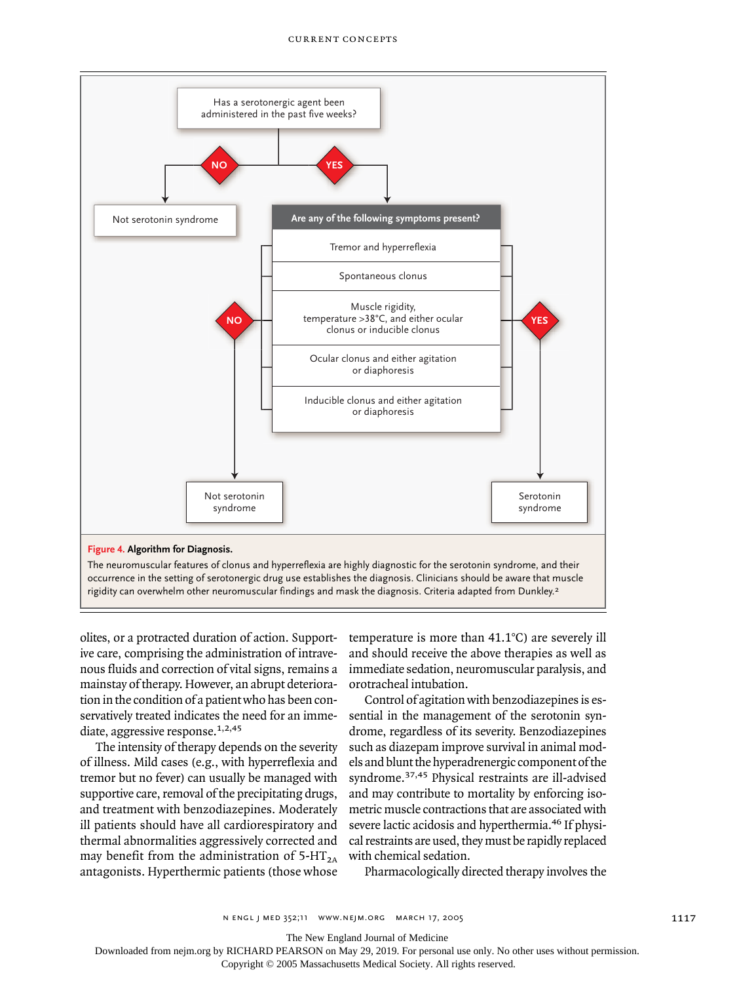

olites, or a protracted duration of action. Supportive care, comprising the administration of intravenous fluids and correction of vital signs, remains a mainstay of therapy. However, an abrupt deterioration in the condition of a patient who has been conservatively treated indicates the need for an immediate, aggressive response.<sup>1,2,45</sup>

The intensity of therapy depends on the severity of illness. Mild cases (e.g., with hyperreflexia and tremor but no fever) can usually be managed with supportive care, removal of the precipitating drugs, and treatment with benzodiazepines. Moderately ill patients should have all cardiorespiratory and thermal abnormalities aggressively corrected and may benefit from the administration of  $5-HT_{2A}$ antagonists. Hyperthermic patients (those whose

temperature is more than 41.1°C) are severely ill and should receive the above therapies as well as immediate sedation, neuromuscular paralysis, and orotracheal intubation.

Control of agitation with benzodiazepines is essential in the management of the serotonin syndrome, regardless of its severity. Benzodiazepines such as diazepam improve survival in animal models and blunt the hyperadrenergic component of the syndrome.37,45 Physical restraints are ill-advised and may contribute to mortality by enforcing isometric muscle contractions that are associated with severe lactic acidosis and hyperthermia.<sup>46</sup> If physical restraints are used, they must be rapidly replaced with chemical sedation.

Pharmacologically directed therapy involves the

The New England Journal of Medicine

Downloaded from nejm.org by RICHARD PEARSON on May 29, 2019. For personal use only. No other uses without permission.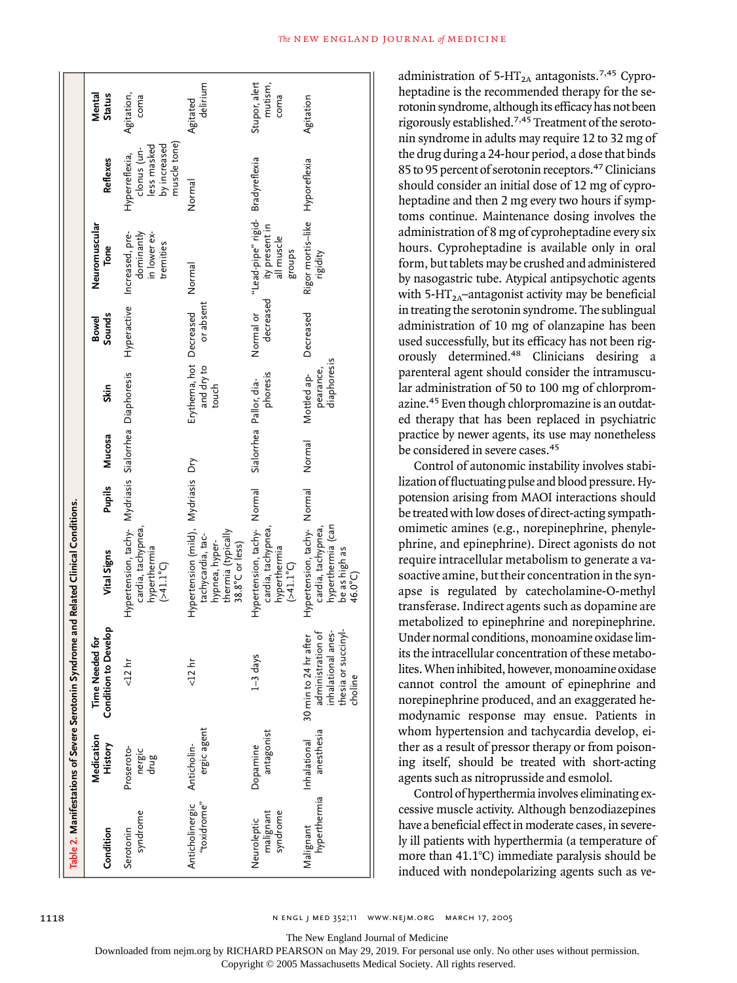|                                                                                       | Mental<br><b>Status</b>                        | Agitation,<br>coma                                                                                      | Agitated<br>delirium                                                                                               | Stupor, alert<br>mutism,<br>coma                                               | Agitation                                                                                                 |
|---------------------------------------------------------------------------------------|------------------------------------------------|---------------------------------------------------------------------------------------------------------|--------------------------------------------------------------------------------------------------------------------|--------------------------------------------------------------------------------|-----------------------------------------------------------------------------------------------------------|
| Table 2. Manifestations of Severe Serotonin Syndrome and Related Clinical Conditions. | <b>Reflexes</b>                                | less masked<br>by increased<br>muscle tone)<br>clonus (un-<br>Hyperreflexia,                            | Normal                                                                                                             |                                                                                | Hyporeflexia                                                                                              |
|                                                                                       | Neuromuscular<br>Tone                          | dominantly<br>in lower ex-<br>Increased, pre-<br>tremities                                              | Normal                                                                                                             | "Lead-pipe" rigid- Bradyreflexia<br>ity present in<br>all muscle<br>slnoug     | Rigor mortis-like<br>rigidity                                                                             |
|                                                                                       | Sounds<br>Bowel                                | Hyperactive                                                                                             | or absent                                                                                                          | decreased<br>Normal or                                                         | Decreased                                                                                                 |
|                                                                                       | Skin                                           |                                                                                                         | Erythema, hot Decreased<br>and dry to or abser<br>touch                                                            | phoresis                                                                       | pearance,<br>diaphoresis<br>Mottled ap-                                                                   |
|                                                                                       | Mucosa                                         |                                                                                                         |                                                                                                                    | Sialorrhea Pallor, dia-                                                        | Normal                                                                                                    |
|                                                                                       | Pupils                                         |                                                                                                         |                                                                                                                    |                                                                                |                                                                                                           |
|                                                                                       | Vital Signs                                    | Hypertension, tachy- Mydriasis Sialorrhea Diaphoresis<br>cardia, tachypnea<br>hyperthermia<br>(>41.1°C) | Hypertension (mild), Mydriasis Dry<br>thermia (typically<br>tachycardia, tac-<br>hypnea, hyper-<br>38.8°C or less) | Hypertension, tachy- Normal<br>cardia, tachypnea,<br>hyperthermia<br>(>41.1°C) | Hypertension, tachy- Normal<br>hyperthermia (can<br>cardia, tachypnea,<br>be as high as<br>46.0°C)        |
|                                                                                       | Condition to Develop<br><b>Time Needed for</b> | $<$ 12 $hr$                                                                                             | < 12 hr                                                                                                            | $1 - 3$ days                                                                   | thesia or succinyl-<br>l anes-<br>administration of<br>after<br>30 min to 24 hr<br>inhalationa<br>choline |
|                                                                                       | Medication<br>History                          | Proseroto-<br>nergic<br>drug                                                                            | ergic agent<br>Anticholin-                                                                                         | antagonist<br>Dopamine                                                         | anesthesia<br>Inhalational                                                                                |
|                                                                                       | Condition                                      | syndrome<br>Serotonin                                                                                   | Anticholinergic<br>"toxidrome"                                                                                     | malignant<br>syndrome<br>Neuroleptic                                           | hyperthermia<br>Malignant                                                                                 |

administration of  $5-HT_{2A}$  antagonists.<sup>7,45</sup> Cyproheptadine is the recommended therapy for the serotonin syndrome, although its efficacy has not been rigorously established.7,45 Treatment of the serotonin syndrome in adults may require 12 to 32 mg of the drug during a 24-hour period, a dose that binds 85 to 95 percent of serotonin receptors.<sup>47</sup> Clinicians should consider an initial dose of 12 mg of cyproheptadine and then 2 mg every two hours if symptoms continue. Maintenance dosing involves the administration of 8 mg of cyproheptadine every six hours. Cyproheptadine is available only in oral form, but tablets may be crushed and administered by nasogastric tube. Atypical antipsychotic agents with 5-HT<sub>2A</sub>–antagonist activity may be beneficial in treating the serotonin syndrome. The sublingual administration of 10 mg of olanzapine has been used successfully, but its efficacy has not been rigorously determined.48 Clinicians desiring a parenteral agent should consider the intramuscular administration of 50 to 100 mg of chlorpromazine.45 Even though chlorpromazine is an outdated therapy that has been replaced in psychiatric practice by newer agents, its use may nonetheless be considered in severe cases.<sup>45</sup>

Control of autonomic instability involves stabilization of fluctuating pulse and blood pressure. Hypotension arising from MAOI interactions should be treated with low doses of direct-acting sympathomimetic amines (e.g., norepinephrine, phenylephrine, and epinephrine). Direct agonists do not require intracellular metabolism to generate a vasoactive amine, but their concentration in the synapse is regulated by catecholamine-O-methyl transferase. Indirect agents such as dopamine are metabolized to epinephrine and norepinephrine. Under normal conditions, monoamine oxidase limits the intracellular concentration of these metabolites. When inhibited, however, monoamine oxidase cannot control the amount of epinephrine and norepinephrine produced, and an exaggerated hemodynamic response may ensue. Patients in whom hypertension and tachycardia develop, either as a result of pressor therapy or from poisoning itself, should be treated with short-acting agents such as nitroprusside and esmolol.

Control of hyperthermia involves eliminating excessive muscle activity. Although benzodiazepines have a beneficial effect in moderate cases, in severely ill patients with hyperthermia (a temperature of more than 41.1°C) immediate paralysis should be induced with nondepolarizing agents such as ve-

The New England Journal of Medicine

Downloaded from nejm.org by RICHARD PEARSON on May 29, 2019. For personal use only. No other uses without permission.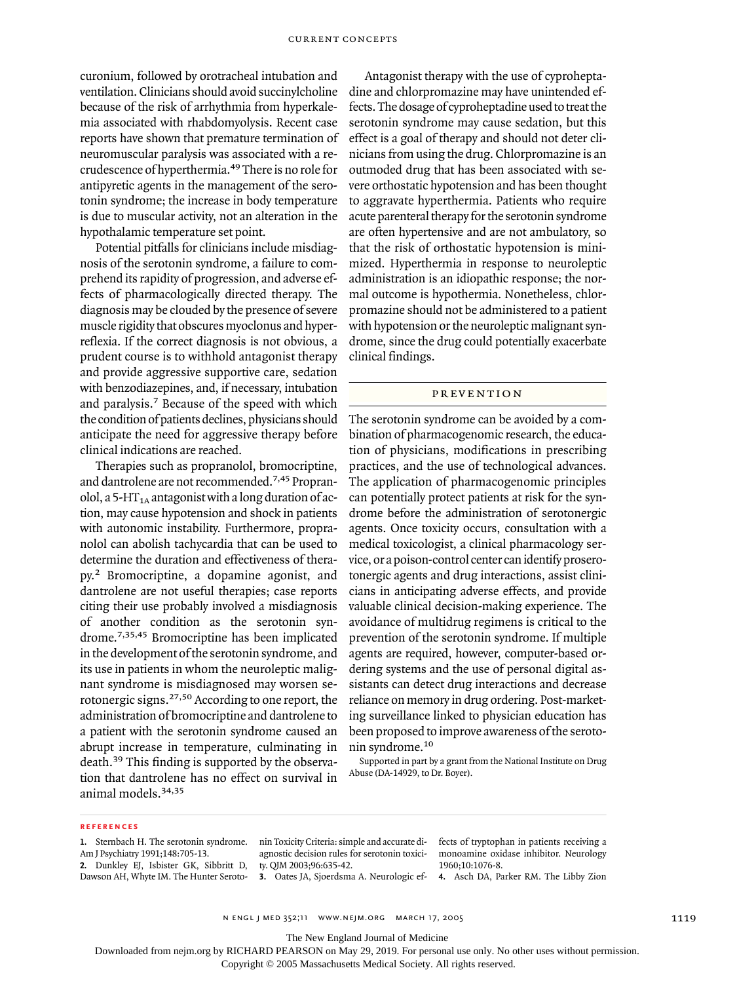curonium, followed by orotracheal intubation and ventilation. Clinicians should avoid succinylcholine because of the risk of arrhythmia from hyperkalemia associated with rhabdomyolysis. Recent case reports have shown that premature termination of neuromuscular paralysis was associated with a recrudescence of hyperthermia.49 There is no role for antipyretic agents in the management of the serotonin syndrome; the increase in body temperature is due to muscular activity, not an alteration in the hypothalamic temperature set point.

Potential pitfalls for clinicians include misdiagnosis of the serotonin syndrome, a failure to comprehend its rapidity of progression, and adverse effects of pharmacologically directed therapy. The diagnosis may be clouded by the presence of severe muscle rigidity that obscures myoclonus and hyperreflexia. If the correct diagnosis is not obvious, a prudent course is to withhold antagonist therapy and provide aggressive supportive care, sedation with benzodiazepines, and, if necessary, intubation and paralysis.7 Because of the speed with which the condition of patients declines, physicians should anticipate the need for aggressive therapy before clinical indications are reached.

Therapies such as propranolol, bromocriptine, and dantrolene are not recommended.<sup>7,45</sup> Propranolol, a 5-HT<sub>1A</sub> antagonist with a long duration of action, may cause hypotension and shock in patients with autonomic instability. Furthermore, propranolol can abolish tachycardia that can be used to determine the duration and effectiveness of therapy.2 Bromocriptine, a dopamine agonist, and dantrolene are not useful therapies; case reports citing their use probably involved a misdiagnosis of another condition as the serotonin syndrome.7,35,45 Bromocriptine has been implicated in the development of the serotonin syndrome, and its use in patients in whom the neuroleptic malignant syndrome is misdiagnosed may worsen serotonergic signs.27,50 According to one report, the administration of bromocriptine and dantrolene to a patient with the serotonin syndrome caused an abrupt increase in temperature, culminating in death.39 This finding is supported by the observation that dantrolene has no effect on survival in animal models.34,35

Antagonist therapy with the use of cyproheptadine and chlorpromazine may have unintended effects. The dosage of cyproheptadine used to treat the serotonin syndrome may cause sedation, but this effect is a goal of therapy and should not deter clinicians from using the drug. Chlorpromazine is an outmoded drug that has been associated with severe orthostatic hypotension and has been thought to aggravate hyperthermia. Patients who require acute parenteral therapy for the serotonin syndrome are often hypertensive and are not ambulatory, so that the risk of orthostatic hypotension is minimized. Hyperthermia in response to neuroleptic administration is an idiopathic response; the normal outcome is hypothermia. Nonetheless, chlorpromazine should not be administered to a patient with hypotension or the neuroleptic malignant syndrome, since the drug could potentially exacerbate clinical findings.

## prevention

The serotonin syndrome can be avoided by a combination of pharmacogenomic research, the education of physicians, modifications in prescribing practices, and the use of technological advances. The application of pharmacogenomic principles can potentially protect patients at risk for the syndrome before the administration of serotonergic agents. Once toxicity occurs, consultation with a medical toxicologist, a clinical pharmacology service, or a poison-control center can identify proserotonergic agents and drug interactions, assist clinicians in anticipating adverse effects, and provide valuable clinical decision-making experience. The avoidance of multidrug regimens is critical to the prevention of the serotonin syndrome. If multiple agents are required, however, computer-based ordering systems and the use of personal digital assistants can detect drug interactions and decrease reliance on memory in drug ordering. Post-marketing surveillance linked to physician education has been proposed to improve awareness of the serotonin syndrome.<sup>10</sup>

Supported in part by a grant from the National Institute on Drug Abuse (DA-14929, to Dr. Boyer).

#### **references**

**1.** Sternbach H. The serotonin syndrome. Am J Psychiatry 1991;148:705-13. **2.** Dunkley EJ, Isbister GK, Sibbritt D, Dawson AH, Whyte IM. The Hunter Serotonin Toxicity Criteria: simple and accurate diagnostic decision rules for serotonin toxicity. QJM 2003;96:635-42. **3.** Oates JA, Sjoerdsma A. Neurologic effects of tryptophan in patients receiving a monoamine oxidase inhibitor. Neurology 1960;10:1076-8.

**4.** Asch DA, Parker RM. The Libby Zion

n engl j med 352;11 www.nejm.org march 17, 2005

1119

The New England Journal of Medicine

Downloaded from nejm.org by RICHARD PEARSON on May 29, 2019. For personal use only. No other uses without permission.